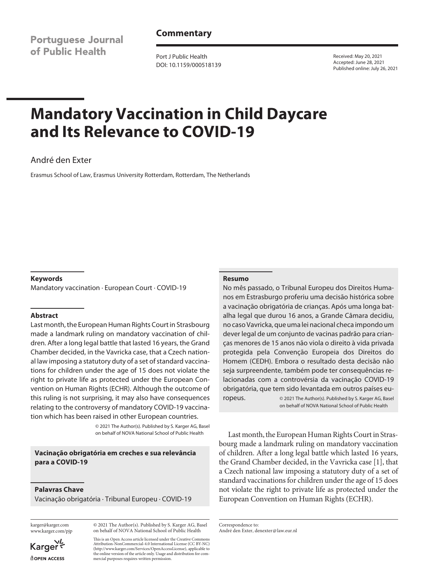**Portuguese Journal** of Public Health

# **Commentary**

Port J Public Health DOI: 10.1159/000518139 Received: May 20, 2021 Accepted: June 28, 2021 Published online: July 26, 2021

# **Mandatory Vaccination in Child Daycare and Its Relevance to COVID-19**

# André den Exter

Erasmus School of Law, Erasmus University Rotterdam, Rotterdam, The Netherlands

#### **Keywords**

Mandatory vaccination · European Court · COVID-19

#### **Abstract**

Last month, the European Human Rights Court in Strasbourg made a landmark ruling on mandatory vaccination of children. After a long legal battle that lasted 16 years, the Grand Chamber decided, in the Vavricka case, that a Czech national law imposing a statutory duty of a set of standard vaccinations for children under the age of 15 does not violate the right to private life as protected under the European Convention on Human Rights (ECHR). Although the outcome of this ruling is not surprising, it may also have consequences relating to the controversy of mandatory COVID-19 vaccination which has been raised in other European countries.

> © 2021 The Author(s). Published by S. Karger AG, Basel on behalf of NOVA National School of Public Health

### **Vacinação obrigatória em creches e sua relevância para a COVID-19**

#### **Palavras Chave**

Vacinação obrigatória · Tribunal Europeu · COVID-19

karger@karger.com www.karger.com/pjp

© 2021 The Author(s). Published by S. Karger AG, Basel on behalf of NOVA National School of Public Health

Karger dopen Access This is an Open Access article licensed under the Creative Commons Attribution-NonCommercial-4.0 International License (CC BY-NC) (http://www.karger.com/Services/OpenAccessLicense), applicable to the online version of the article only. Usage and distribution for commercial purposes requires written permission.

#### **Resumo**

No mês passado, o Tribunal Europeu dos Direitos Humanos em Estrasburgo proferiu uma decisão histórica sobre a vacinação obrigatória de crianças. Após uma longa batalha legal que durou 16 anos, a Grande Câmara decidiu, no caso Vavricka, que uma lei nacional checa impondo um dever legal de um conjunto de vacinas padrão para crianças menores de 15 anos não viola o direito à vida privada protegida pela Convenção Europeia dos Direitos do Homem (CEDH). Embora o resultado desta decisão não seja surpreendente, também pode ter consequências relacionadas com a controvérsia da vacinação COVID-19 obrigatória, que tem sido levantada em outros países europeus. © 2021 The Author(s). Published by S. Karger AG, Basel

on behalf of NOVA National School of Public Health

Last month, the European Human Rights Court in Strasbourg made a landmark ruling on mandatory vaccination of children. After a long legal battle which lasted 16 years, the Grand Chamber decided, in the Vavricka case [\[1](#page-1-0)], that a Czech national law imposing a statutory duty of a set of standard vaccinations for children under the age of 15 does not violate the right to private life as protected under the European Convention on Human Rights (ECHR).

Correspondence to: André den Exter, denexter@law.eur.nl